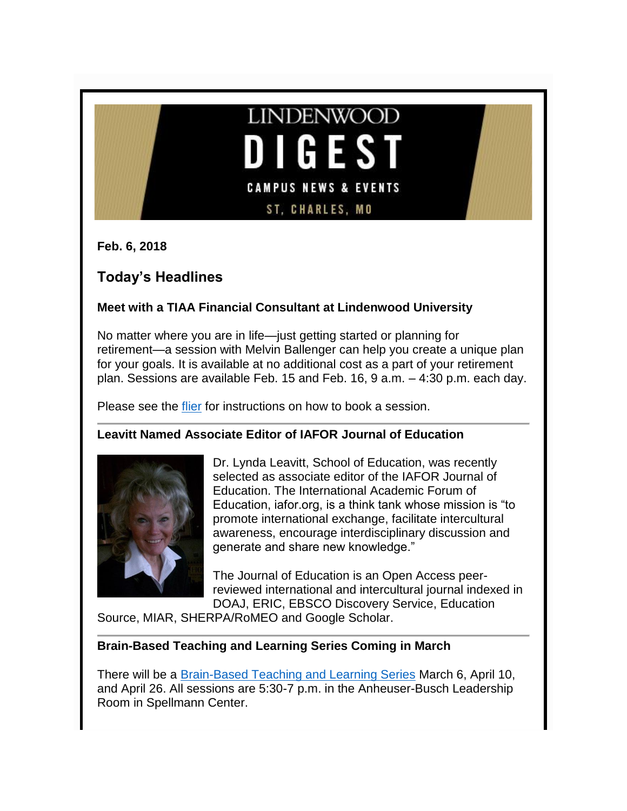

**Feb. 6, 2018**

# **Today's Headlines**

### **Meet with a TIAA Financial Consultant at Lindenwood University**

No matter where you are in life—just getting started or planning for retirement—a session with Melvin Ballenger can help you create a unique plan for your goals. It is available at no additional cost as a part of your retirement plan. Sessions are available Feb. 15 and Feb. 16, 9 a.m. – 4:30 p.m. each day.

Please see the [flier](http://felix.lindenwood.edu/newsletter/2018_02/financialconsultant.pdf) for instructions on how to book a session.

### **Leavitt Named Associate Editor of IAFOR Journal of Education**



Dr. Lynda Leavitt, School of Education, was recently selected as associate editor of the IAFOR Journal of Education. The International Academic Forum of Education, iafor.org, is a think tank whose mission is "to promote international exchange, facilitate intercultural awareness, encourage interdisciplinary discussion and generate and share new knowledge."

The Journal of Education is an Open Access peerreviewed international and intercultural journal indexed in DOAJ, ERIC, EBSCO Discovery Service, Education

Source, MIAR, SHERPA/RoMEO and Google Scholar.

### **Brain-Based Teaching and Learning Series Coming in March**

There will be a [Brain-Based Teaching and Learning Series](http://felix.lindenwood.edu/newsletter/2018_02/brainbasedsessions.pdf) March 6, April 10, and April 26. All sessions are 5:30-7 p.m. in the Anheuser-Busch Leadership Room in Spellmann Center.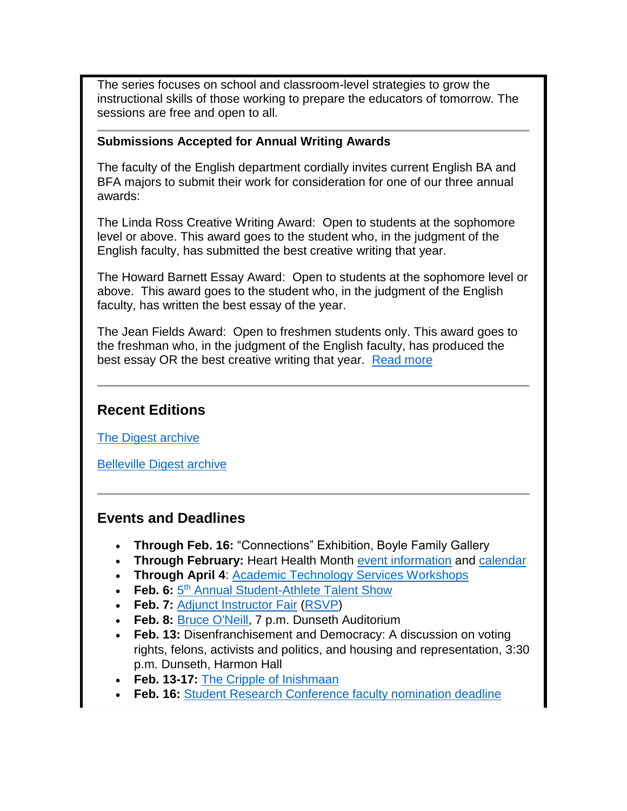The series focuses on school and classroom-level strategies to grow the instructional skills of those working to prepare the educators of tomorrow. The sessions are free and open to all.

#### **Submissions Accepted for Annual Writing Awards**

The faculty of the English department cordially invites current English BA and BFA majors to submit their work for consideration for one of our three annual awards:

The Linda Ross Creative Writing Award: Open to students at the sophomore level or above. This award goes to the student who, in the judgment of the English faculty, has submitted the best creative writing that year.

The Howard Barnett Essay Award: Open to students at the sophomore level or above. This award goes to the student who, in the judgment of the English faculty, has written the best essay of the year.

The Jean Fields Award: Open to freshmen students only. This award goes to the freshman who, in the judgment of the English faculty, has produced the best essay OR the best creative writing that year. [Read more](http://felix.lindenwood.edu/newsletter/2018_02/writingaward.pdf)

## **Recent Editions**

[The Digest archive](http://www.lindenwood.edu/about/digest-archives/)

[Belleville Digest archive](http://www.lindenwood.edu/belleville/about/lindenwood-belleville-digest-archives/)

## **Events and Deadlines**

- **Through Feb. 16:** "Connections" Exhibition, Boyle Family Gallery
- **Through February:** Heart Health Month [event information](http://felix.lindenwood.edu/newsletter/2018_02/hearthealthinfo.pdf) and [calendar](http://felix.lindenwood.edu/newsletter/2018_02/heartcalendar.pdf)
- **Through April 4**: [Academic Technology Services Workshops](http://felix.lindenwood.edu/newsletter/2018_01/ats_spring_catalog.pdf)
- **Feb. 6:**  $5^{th}$  [Annual Student-Athlete Talent Show](http://felix.lindenwood.edu/newsletter/2018_01/talentshow2018.jpg)
- **Feb. 7:** [Adjunct Instructor Fair](http://felix.lindenwood.edu/newsletter/2018_01/adjunctfair.pdf) [\(RSVP\)](https://www.eventbrite.com/o/lindenwood-human-resources-11113458435)
- **Feb. 8:** [Bruce O'Neill,](http://www.lindenwood.edu/academics/centers-institutes/center-for-international-and-global-studies/speaker-series/bruce-oneill-the-class-of-boredom-in-the-global-economy/) 7 p.m. Dunseth Auditorium
- **Feb. 13:** Disenfranchisement and Democracy: A discussion on voting rights, felons, activists and politics, and housing and representation, 3:30 p.m. Dunseth, Harmon Hall
- **Feb. 13-17:** [The Cripple of Inishmaan](http://www.lindenwood.edu/j-scheidegger-center-for-the-arts/upcoming-events/university-theater/the-cripple-of-inishmaan-feb-13-17/)
- **Feb. 16:** [Student Research Conference faculty nomination deadline](http://www.lindenwood.edu/academics/beyond-the-classroom/student-research/srse-faculty-nominations/)